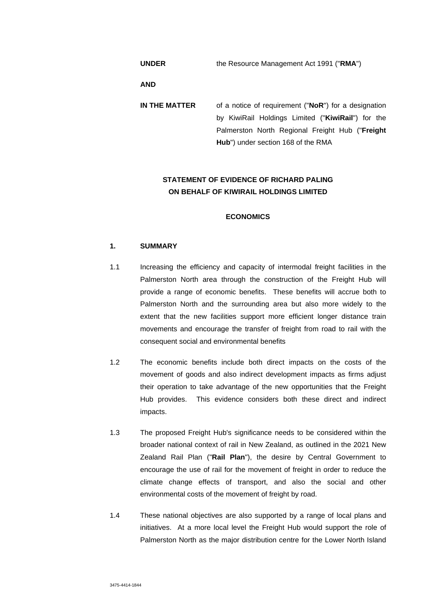| <b>UNDER</b>  | the Resource Management Act 1991 ("RMA")                                                                                                                                                                   |  |  |  |  |
|---------------|------------------------------------------------------------------------------------------------------------------------------------------------------------------------------------------------------------|--|--|--|--|
| <b>AND</b>    |                                                                                                                                                                                                            |  |  |  |  |
| IN THE MATTER | of a notice of requirement ("NoR") for a designation<br>by KiwiRail Holdings Limited ("KiwiRail") for the<br>Palmerston North Regional Freight Hub ("Freight<br><b>Hub</b> ") under section 168 of the RMA |  |  |  |  |

# **STATEMENT OF EVIDENCE OF RICHARD PALING ON BEHALF OF KIWIRAIL HOLDINGS LIMITED**

## **ECONOMICS**

## **1. SUMMARY**

- 1.1 Increasing the efficiency and capacity of intermodal freight facilities in the Palmerston North area through the construction of the Freight Hub will provide a range of economic benefits. These benefits will accrue both to Palmerston North and the surrounding area but also more widely to the extent that the new facilities support more efficient longer distance train movements and encourage the transfer of freight from road to rail with the consequent social and environmental benefits
- 1.2 The economic benefits include both direct impacts on the costs of the movement of goods and also indirect development impacts as firms adjust their operation to take advantage of the new opportunities that the Freight Hub provides. This evidence considers both these direct and indirect impacts.
- 1.3 The proposed Freight Hub's significance needs to be considered within the broader national context of rail in New Zealand, as outlined in the 2021 New Zealand Rail Plan ("**Rail Plan**"), the desire by Central Government to encourage the use of rail for the movement of freight in order to reduce the climate change effects of transport, and also the social and other environmental costs of the movement of freight by road.
- 1.4 These national objectives are also supported by a range of local plans and initiatives. At a more local level the Freight Hub would support the role of Palmerston North as the major distribution centre for the Lower North Island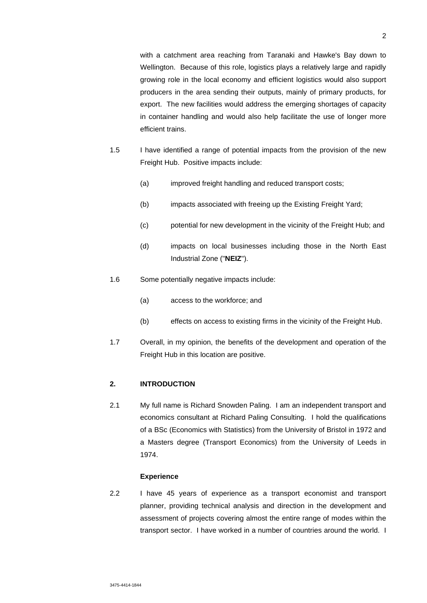with a catchment area reaching from Taranaki and Hawke's Bay down to Wellington. Because of this role, logistics plays a relatively large and rapidly growing role in the local economy and efficient logistics would also support producers in the area sending their outputs, mainly of primary products, for export. The new facilities would address the emerging shortages of capacity in container handling and would also help facilitate the use of longer more efficient trains.

- 1.5 I have identified a range of potential impacts from the provision of the new Freight Hub. Positive impacts include:
	- (a) improved freight handling and reduced transport costs;
	- (b) impacts associated with freeing up the Existing Freight Yard;
	- (c) potential for new development in the vicinity of the Freight Hub; and
	- (d) impacts on local businesses including those in the North East Industrial Zone ("**NEIZ**").
- 1.6 Some potentially negative impacts include:
	- (a) access to the workforce; and
	- (b) effects on access to existing firms in the vicinity of the Freight Hub.
- 1.7 Overall, in my opinion, the benefits of the development and operation of the Freight Hub in this location are positive.

## **2. INTRODUCTION**

2.1 My full name is Richard Snowden Paling. I am an independent transport and economics consultant at Richard Paling Consulting. I hold the qualifications of a BSc (Economics with Statistics) from the University of Bristol in 1972 and a Masters degree (Transport Economics) from the University of Leeds in 1974.

# **Experience**

2.2 I have 45 years of experience as a transport economist and transport planner, providing technical analysis and direction in the development and assessment of projects covering almost the entire range of modes within the transport sector. I have worked in a number of countries around the world. I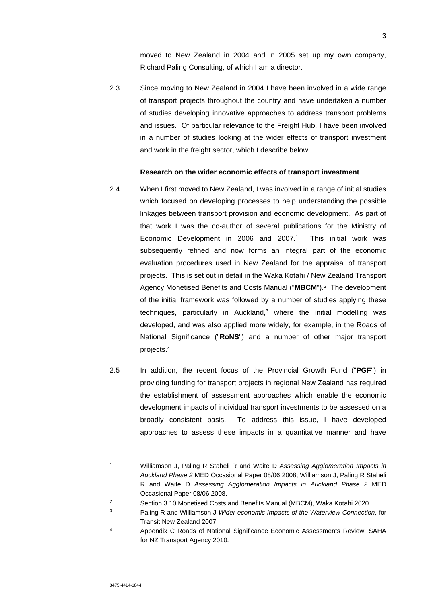moved to New Zealand in 2004 and in 2005 set up my own company, Richard Paling Consulting, of which I am a director.

2.3 Since moving to New Zealand in 2004 I have been involved in a wide range of transport projects throughout the country and have undertaken a number of studies developing innovative approaches to address transport problems and issues. Of particular relevance to the Freight Hub, I have been involved in a number of studies looking at the wider effects of transport investment and work in the freight sector, which I describe below.

#### **Research on the wider economic effects of transport investment**

- 2.4 When I first moved to New Zealand, I was involved in a range of initial studies which focused on developing processes to help understanding the possible linkages between transport provision and economic development. As part of that work I was the co-author of several publications for the Ministry of Economic Development in 2006 and 2007.<sup>1</sup> This initial work was subsequently refined and now forms an integral part of the economic evaluation procedures used in New Zealand for the appraisal of transport projects. This is set out in detail in the Waka Kotahi / New Zealand Transport Agency Monetised Benefits and Costs Manual ("**MBCM**").<sup>2</sup> The development of the initial framework was followed by a number of studies applying these techniques, particularly in Auckland, $3$  where the initial modelling was developed, and was also applied more widely, for example, in the Roads of National Significance ("**RoNS**") and a number of other major transport projects.<sup>4</sup>
- 2.5 In addition, the recent focus of the Provincial Growth Fund ("**PGF**") in providing funding for transport projects in regional New Zealand has required the establishment of assessment approaches which enable the economic development impacts of individual transport investments to be assessed on a broadly consistent basis. To address this issue, I have developed approaches to assess these impacts in a quantitative manner and have

<sup>1</sup> Williamson J, Paling R Staheli R and Waite D *Assessing Agglomeration Impacts in Auckland Phase 2* MED Occasional Paper 08/06 2008; Williamson J, Paling R Staheli R and Waite D *Assessing Agglomeration Impacts in Auckland Phase 2* MED Occasional Paper 08/06 2008.

<sup>&</sup>lt;sup>2</sup> Section 3.10 Monetised Costs and Benefits Manual (MBCM), Waka Kotahi 2020.

<sup>3</sup> Paling R and Williamson J *Wider economic Impacts of the Waterview Connection*, for Transit New Zealand 2007.

<sup>4</sup> Appendix C Roads of National Significance Economic Assessments Review, SAHA for NZ Transport Agency 2010.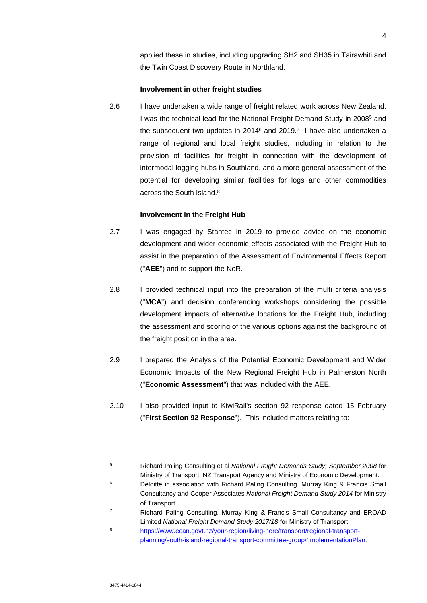applied these in studies, including upgrading SH2 and SH35 in Tairāwhiti and the Twin Coast Discovery Route in Northland.

## **Involvement in other freight studies**

2.6 I have undertaken a wide range of freight related work across New Zealand. I was the technical lead for the National Freight Demand Study in 2008<sup>5</sup> and the subsequent two updates in 2014 $6$  and 2019.<sup>7</sup> I have also undertaken a range of regional and local freight studies, including in relation to the provision of facilities for freight in connection with the development of intermodal logging hubs in Southland, and a more general assessment of the potential for developing similar facilities for logs and other commodities across the South Island.<sup>8</sup>

## **Involvement in the Freight Hub**

- 2.7 I was engaged by Stantec in 2019 to provide advice on the economic development and wider economic effects associated with the Freight Hub to assist in the preparation of the Assessment of Environmental Effects Report ("**AEE**") and to support the NoR.
- 2.8 I provided technical input into the preparation of the multi criteria analysis ("**MCA**") and decision conferencing workshops considering the possible development impacts of alternative locations for the Freight Hub, including the assessment and scoring of the various options against the background of the freight position in the area.
- 2.9 I prepared the Analysis of the Potential Economic Development and Wider Economic Impacts of the New Regional Freight Hub in Palmerston North ("**Economic Assessment**") that was included with the AEE.
- 2.10 I also provided input to KiwiRail's section 92 response dated 15 February ("**First Section 92 Response**"). This included matters relating to:

<sup>5</sup> Richard Paling Consulting et al *National Freight Demands Study, September 2008* for Ministry of Transport, NZ Transport Agency and Ministry of Economic Development.

<sup>6</sup> Deloitte in association with Richard Paling Consulting, Murray King & Francis Small Consultancy and Cooper Associates *National Freight Demand Study 2014* for Ministry of Transport.

<sup>7</sup> Richard Paling Consulting, Murray King & Francis Small Consultancy and EROAD Limited *National Freight Demand Study 2017/18* for Ministry of Transport.

<sup>8</sup> https://www.ecan.govt.nz/your-region/living-here/transport/regional-transportplanning/south-island-regional-transport-committee-group#ImplementationPlan.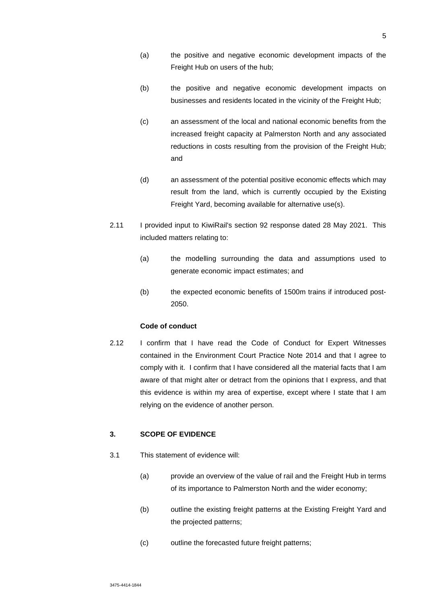- (a) the positive and negative economic development impacts of the Freight Hub on users of the hub;
- (b) the positive and negative economic development impacts on businesses and residents located in the vicinity of the Freight Hub;
- (c) an assessment of the local and national economic benefits from the increased freight capacity at Palmerston North and any associated reductions in costs resulting from the provision of the Freight Hub; and
- (d) an assessment of the potential positive economic effects which may result from the land, which is currently occupied by the Existing Freight Yard, becoming available for alternative use(s).
- 2.11 I provided input to KiwiRail's section 92 response dated 28 May 2021. This included matters relating to:
	- (a) the modelling surrounding the data and assumptions used to generate economic impact estimates; and
	- (b) the expected economic benefits of 1500m trains if introduced post-2050.

# **Code of conduct**

2.12 I confirm that I have read the Code of Conduct for Expert Witnesses contained in the Environment Court Practice Note 2014 and that I agree to comply with it. I confirm that I have considered all the material facts that I am aware of that might alter or detract from the opinions that I express, and that this evidence is within my area of expertise, except where I state that I am relying on the evidence of another person.

# **3. SCOPE OF EVIDENCE**

- 3.1 This statement of evidence will:
	- (a) provide an overview of the value of rail and the Freight Hub in terms of its importance to Palmerston North and the wider economy;
	- (b) outline the existing freight patterns at the Existing Freight Yard and the projected patterns;
	- (c) outline the forecasted future freight patterns;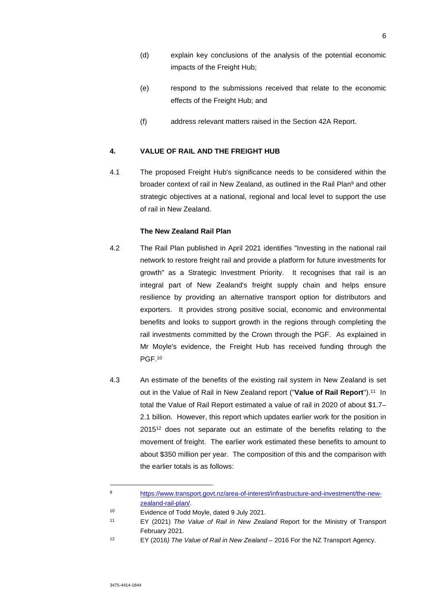- (d) explain key conclusions of the analysis of the potential economic impacts of the Freight Hub;
- (e) respond to the submissions received that relate to the economic effects of the Freight Hub; and
- (f) address relevant matters raised in the Section 42A Report.

## **4. VALUE OF RAIL AND THE FREIGHT HUB**

4.1 The proposed Freight Hub's significance needs to be considered within the broader context of rail in New Zealand, as outlined in the Rail Plan<sup>9</sup> and other strategic objectives at a national, regional and local level to support the use of rail in New Zealand.

# **The New Zealand Rail Plan**

- 4.2 The Rail Plan published in April 2021 identifies "Investing in the national rail network to restore freight rail and provide a platform for future investments for growth" as a Strategic Investment Priority. It recognises that rail is an integral part of New Zealand's freight supply chain and helps ensure resilience by providing an alternative transport option for distributors and exporters. It provides strong positive social, economic and environmental benefits and looks to support growth in the regions through completing the rail investments committed by the Crown through the PGF. As explained in Mr Moyle's evidence, the Freight Hub has received funding through the PGF.<sup>10</sup>
- 4.3 An estimate of the benefits of the existing rail system in New Zealand is set out in the Value of Rail in New Zealand report ("Value of Rail Report").<sup>11</sup> In total the Value of Rail Report estimated a value of rail in 2020 of about \$1.7– 2.1 billion. However, this report which updates earlier work for the position in 2015<sup>12</sup> does not separate out an estimate of the benefits relating to the movement of freight. The earlier work estimated these benefits to amount to about \$350 million per year. The composition of this and the comparison with the earlier totals is as follows:

<sup>9</sup> https://www.transport.govt.nz/area-of-interest/infrastructure-and-investment/the-newzealand-rail-plan/.

<sup>10</sup> Evidence of Todd Moyle, dated 9 July 2021.

<sup>11</sup> EY (2021) *The Value of Rail in New Zealand* Report for the Ministry of Transport February 2021.

<sup>12</sup> EY (2016*) The Value of Rail in New Zealand* – 2016 For the NZ Transport Agency.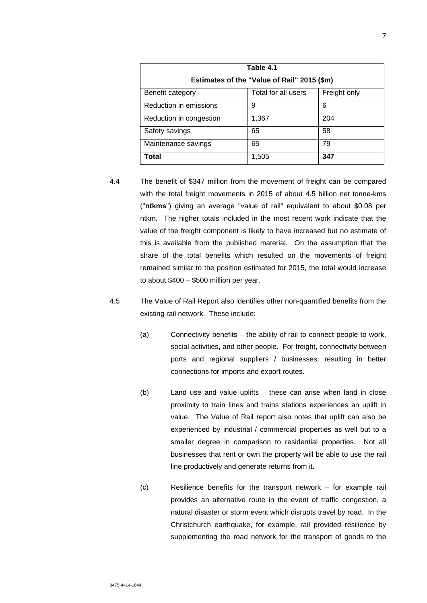| Table 4.1<br>Estimates of the "Value of Rail" 2015 (\$m) |                     |              |  |  |
|----------------------------------------------------------|---------------------|--------------|--|--|
| Benefit category                                         | Total for all users | Freight only |  |  |
| Reduction in emissions                                   | 9                   | 6            |  |  |
| Reduction in congestion                                  | 1,367               | 204          |  |  |
| Safety savings                                           | 65                  | 58           |  |  |
| Maintenance savings                                      | 65                  | 79           |  |  |
| Total                                                    | 1,505               | 347          |  |  |

- 4.4 The benefit of \$347 million from the movement of freight can be compared with the total freight movements in 2015 of about 4.5 billion net tonne-kms ("**ntkms**") giving an average "value of rail" equivalent to about \$0.08 per ntkm. The higher totals included in the most recent work indicate that the value of the freight component is likely to have increased but no estimate of this is available from the published material. On the assumption that the share of the total benefits which resulted on the movements of freight remained similar to the position estimated for 2015, the total would increase to about \$400 – \$500 million per year.
- 4.5 The Value of Rail Report also identifies other non-quantified benefits from the existing rail network. These include:
	- (a) Connectivity benefits the ability of rail to connect people to work, social activities, and other people. For freight, connectivity between ports and regional suppliers / businesses, resulting in better connections for imports and export routes.
	- (b) Land use and value uplifts these can arise when land in close proximity to train lines and trains stations experiences an uplift in value. The Value of Rail report also notes that uplift can also be experienced by industrial / commercial properties as well but to a smaller degree in comparison to residential properties. Not all businesses that rent or own the property will be able to use the rail line productively and generate returns from it.
	- (c) Resilience benefits for the transport network for example rail provides an alternative route in the event of traffic congestion, a natural disaster or storm event which disrupts travel by road. In the Christchurch earthquake, for example, rail provided resilience by supplementing the road network for the transport of goods to the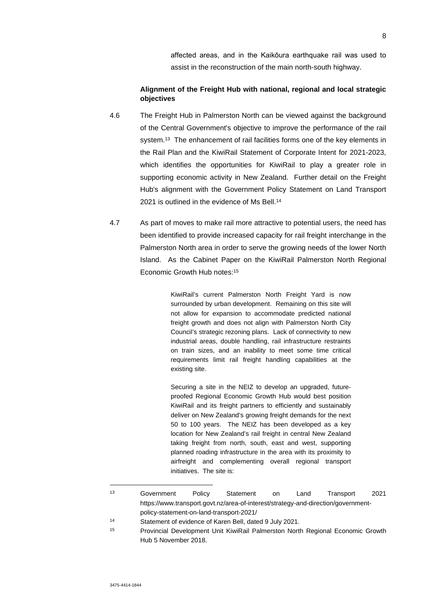affected areas, and in the Kaikōura earthquake rail was used to assist in the reconstruction of the main north-south highway.

# **Alignment of the Freight Hub with national, regional and local strategic objectives**

- 4.6 The Freight Hub in Palmerston North can be viewed against the background of the Central Government's objective to improve the performance of the rail system.<sup>13</sup> The enhancement of rail facilities forms one of the key elements in the Rail Plan and the KiwiRail Statement of Corporate Intent for 2021-2023, which identifies the opportunities for KiwiRail to play a greater role in supporting economic activity in New Zealand. Further detail on the Freight Hub's alignment with the Government Policy Statement on Land Transport 2021 is outlined in the evidence of Ms Bell.<sup>14</sup>
- 4.7 As part of moves to make rail more attractive to potential users, the need has been identified to provide increased capacity for rail freight interchange in the Palmerston North area in order to serve the growing needs of the lower North Island. As the Cabinet Paper on the KiwiRail Palmerston North Regional Economic Growth Hub notes:<sup>15</sup>

KiwiRail's current Palmerston North Freight Yard is now surrounded by urban development. Remaining on this site will not allow for expansion to accommodate predicted national freight growth and does not align with Palmerston North City Council's strategic rezoning plans. Lack of connectivity to new industrial areas, double handling, rail infrastructure restraints on train sizes, and an inability to meet some time critical requirements limit rail freight handling capabilities at the existing site.

Securing a site in the NEIZ to develop an upgraded, futureproofed Regional Economic Growth Hub would best position KiwiRail and its freight partners to efficiently and sustainably deliver on New Zealand's growing freight demands for the next 50 to 100 years. The NEIZ has been developed as a key location for New Zealand's rail freight in central New Zealand taking freight from north, south, east and west, supporting planned roading infrastructure in the area with its proximity to airfreight and complementing overall regional transport initiatives. The site is:

<sup>13</sup> Government Policy Statement on Land Transport 2021 https://www.transport.govt.nz/area-of-interest/strategy-and-direction/governmentpolicy-statement-on-land-transport-2021/

<sup>14</sup> Statement of evidence of Karen Bell, dated 9 July 2021.

<sup>15</sup> Provincial Development Unit KiwiRail Palmerston North Regional Economic Growth Hub 5 November 2018.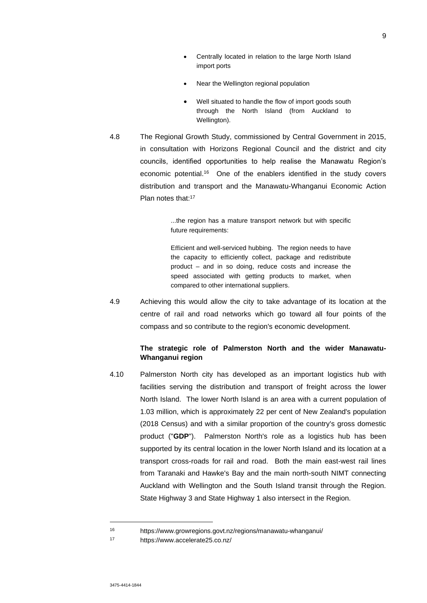- Centrally located in relation to the large North Island import ports
- Near the Wellington regional population
- Well situated to handle the flow of import goods south through the North Island (from Auckland to Wellington).
- 4.8 The Regional Growth Study, commissioned by Central Government in 2015, in consultation with Horizons Regional Council and the district and city councils, identified opportunities to help realise the Manawatu Region's economic potential.<sup>16</sup> One of the enablers identified in the study covers distribution and transport and the Manawatu-Whanganui Economic Action Plan notes that:<sup>17</sup>

...the region has a mature transport network but with specific future requirements:

Efficient and well-serviced hubbing. The region needs to have the capacity to efficiently collect, package and redistribute product – and in so doing, reduce costs and increase the speed associated with getting products to market, when compared to other international suppliers.

4.9 Achieving this would allow the city to take advantage of its location at the centre of rail and road networks which go toward all four points of the compass and so contribute to the region's economic development.

# **The strategic role of Palmerston North and the wider Manawatu-Whanganui region**

4.10 Palmerston North city has developed as an important logistics hub with facilities serving the distribution and transport of freight across the lower North Island. The lower North Island is an area with a current population of 1.03 million, which is approximately 22 per cent of New Zealand's population (2018 Census) and with a similar proportion of the country's gross domestic product ("**GDP**"). Palmerston North's role as a logistics hub has been supported by its central location in the lower North Island and its location at a transport cross-roads for rail and road. Both the main east-west rail lines from Taranaki and Hawke's Bay and the main north-south NIMT connecting Auckland with Wellington and the South Island transit through the Region. State Highway 3 and State Highway 1 also intersect in the Region.

<sup>16</sup> https://www.growregions.govt.nz/regions/manawatu-whanganui/

<sup>17</sup> https://www.accelerate25.co.nz/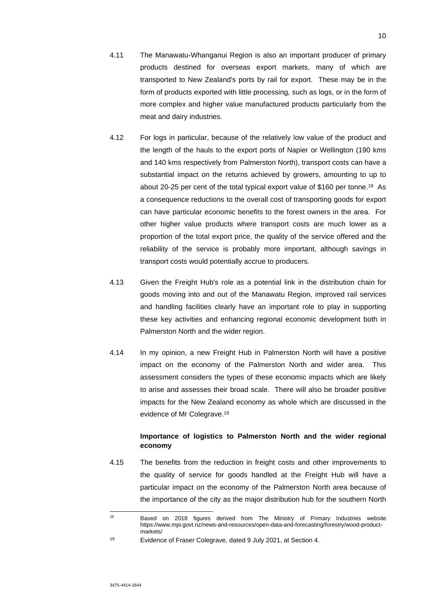- 4.11 The Manawatu-Whanganui Region is also an important producer of primary products destined for overseas export markets, many of which are transported to New Zealand's ports by rail for export. These may be in the form of products exported with little processing, such as logs, or in the form of more complex and higher value manufactured products particularly from the meat and dairy industries.
- 4.12 For logs in particular, because of the relatively low value of the product and the length of the hauls to the export ports of Napier or Wellington (190 kms and 140 kms respectively from Palmerston North), transport costs can have a substantial impact on the returns achieved by growers, amounting to up to about 20-25 per cent of the total typical export value of \$160 per tonne.<sup>18</sup> As a consequence reductions to the overall cost of transporting goods for export can have particular economic benefits to the forest owners in the area. For other higher value products where transport costs are much lower as a proportion of the total export price, the quality of the service offered and the reliability of the service is probably more important, although savings in transport costs would potentially accrue to producers.
- 4.13 Given the Freight Hub's role as a potential link in the distribution chain for goods moving into and out of the Manawatu Region, improved rail services and handling facilities clearly have an important role to play in supporting these key activities and enhancing regional economic development both in Palmerston North and the wider region.
- 4.14 In my opinion, a new Freight Hub in Palmerston North will have a positive impact on the economy of the Palmerston North and wider area. This assessment considers the types of these economic impacts which are likely to arise and assesses their broad scale. There will also be broader positive impacts for the New Zealand economy as whole which are discussed in the evidence of Mr Colegrave.<sup>19</sup>

# **Importance of logistics to Palmerston North and the wider regional economy**

4.15 The benefits from the reduction in freight costs and other improvements to the quality of service for goods handled at the Freight Hub will have a particular impact on the economy of the Palmerston North area because of the importance of the city as the major distribution hub for the southern North

<sup>&</sup>lt;sup>18</sup> Based on 2018 figures derived from The Ministry of Primary Industries website https://www.mpi.govt.nz/news-and-resources/open-data-and-forecasting/forestry/wood-productmarkets/

<sup>19</sup> Evidence of Fraser Colegrave, dated 9 July 2021, at Section 4.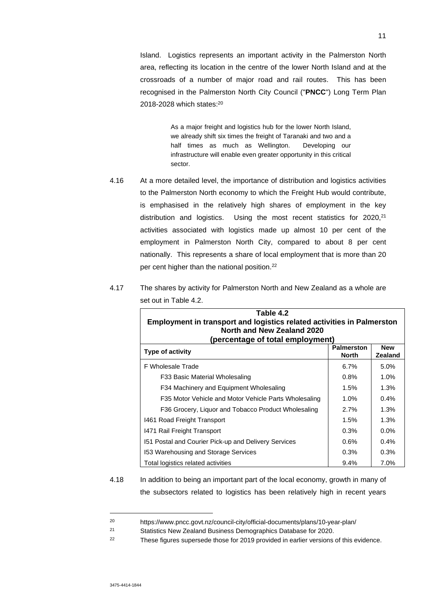Island. Logistics represents an important activity in the Palmerston North area, reflecting its location in the centre of the lower North Island and at the crossroads of a number of major road and rail routes. This has been recognised in the Palmerston North City Council ("**PNCC**") Long Term Plan 2018-2028 which states:<sup>20</sup>

> As a major freight and logistics hub for the lower North Island, we already shift six times the freight of Taranaki and two and a half times as much as Wellington. Developing our infrastructure will enable even greater opportunity in this critical sector.

- 4.16 At a more detailed level, the importance of distribution and logistics activities to the Palmerston North economy to which the Freight Hub would contribute, is emphasised in the relatively high shares of employment in the key distribution and logistics. Using the most recent statistics for 2020,<sup>21</sup> activities associated with logistics made up almost 10 per cent of the employment in Palmerston North City, compared to about 8 per cent nationally. This represents a share of local employment that is more than 20 per cent higher than the national position.<sup>22</sup>
- 4.17 The shares by activity for Palmerston North and New Zealand as a whole are set out in Table 4.2.

| Table 4.2<br><b>Employment in transport and logistics related activities in Palmerston</b> |                                   |                              |  |  |  |  |
|--------------------------------------------------------------------------------------------|-----------------------------------|------------------------------|--|--|--|--|
| North and New Zealand 2020<br>(percentage of total employment)                             |                                   |                              |  |  |  |  |
| Type of activity                                                                           | <b>Palmerston</b><br><b>North</b> | <b>New</b><br><b>Zealand</b> |  |  |  |  |
| F Wholesale Trade                                                                          | 6.7%                              | 5.0%                         |  |  |  |  |
| F33 Basic Material Wholesaling                                                             | 0.8%                              | 1.0%                         |  |  |  |  |
| F34 Machinery and Equipment Wholesaling                                                    | 1.5%                              | 1.3%                         |  |  |  |  |
| F35 Motor Vehicle and Motor Vehicle Parts Wholesaling                                      | 1.0%                              | $0.4\%$                      |  |  |  |  |
| F36 Grocery, Liquor and Tobacco Product Wholesaling                                        | 2.7%                              | 1.3%                         |  |  |  |  |
| 1461 Road Freight Transport                                                                | 1.5%                              | 1.3%                         |  |  |  |  |
| 1471 Rail Freight Transport                                                                | 0.3%                              | $0.0\%$                      |  |  |  |  |
| 151 Postal and Courier Pick-up and Delivery Services                                       | 0.6%                              | $0.4\%$                      |  |  |  |  |
| 153 Warehousing and Storage Services                                                       | 0.3%                              | 0.3%                         |  |  |  |  |
| Total logistics related activities                                                         | 9.4%                              | 7.0%                         |  |  |  |  |

4.18 In addition to being an important part of the local economy, growth in many of the subsectors related to logistics has been relatively high in recent years

<sup>20</sup> https://www.pncc.govt.nz/council-city/official-documents/plans/10-year-plan/

<sup>21</sup> Statistics New Zealand Business Demographics Database for 2020.

<sup>&</sup>lt;sup>22</sup> These figures supersede those for 2019 provided in earlier versions of this evidence.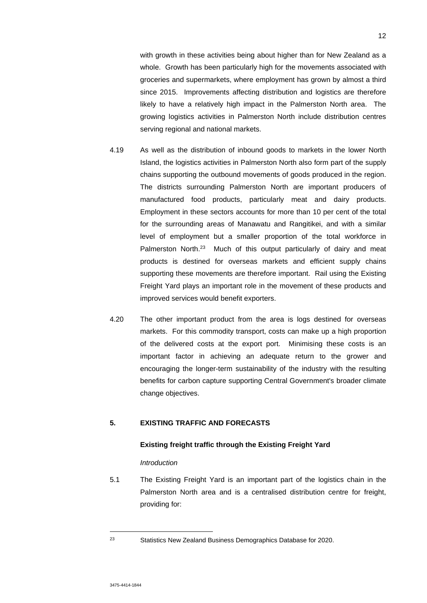with growth in these activities being about higher than for New Zealand as a whole. Growth has been particularly high for the movements associated with groceries and supermarkets, where employment has grown by almost a third since 2015. Improvements affecting distribution and logistics are therefore likely to have a relatively high impact in the Palmerston North area. The growing logistics activities in Palmerston North include distribution centres serving regional and national markets.

- 4.19 As well as the distribution of inbound goods to markets in the lower North Island, the logistics activities in Palmerston North also form part of the supply chains supporting the outbound movements of goods produced in the region. The districts surrounding Palmerston North are important producers of manufactured food products, particularly meat and dairy products. Employment in these sectors accounts for more than 10 per cent of the total for the surrounding areas of Manawatu and Rangitikei, and with a similar level of employment but a smaller proportion of the total workforce in Palmerston North.<sup>23</sup> Much of this output particularly of dairy and meat products is destined for overseas markets and efficient supply chains supporting these movements are therefore important. Rail using the Existing Freight Yard plays an important role in the movement of these products and improved services would benefit exporters.
- 4.20 The other important product from the area is logs destined for overseas markets. For this commodity transport, costs can make up a high proportion of the delivered costs at the export port. Minimising these costs is an important factor in achieving an adequate return to the grower and encouraging the longer-term sustainability of the industry with the resulting benefits for carbon capture supporting Central Government's broader climate change objectives.

# **5. EXISTING TRAFFIC AND FORECASTS**

## **Existing freight traffic through the Existing Freight Yard**

## *Introduction*

5.1 The Existing Freight Yard is an important part of the logistics chain in the Palmerston North area and is a centralised distribution centre for freight, providing for:

<sup>23</sup> Statistics New Zealand Business Demographics Database for 2020.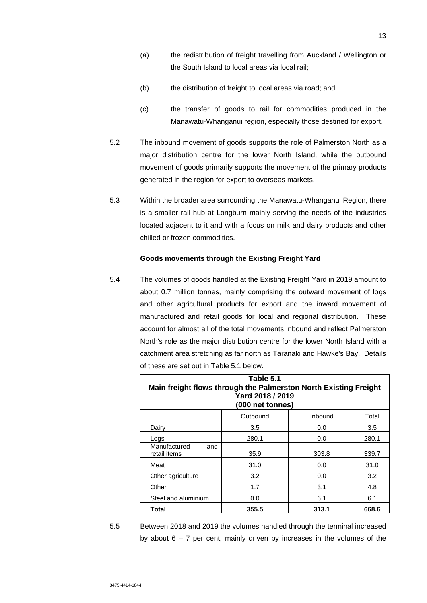- (a) the redistribution of freight travelling from Auckland / Wellington or the South Island to local areas via local rail;
- (b) the distribution of freight to local areas via road; and
- (c) the transfer of goods to rail for commodities produced in the Manawatu-Whanganui region, especially those destined for export.
- 5.2 The inbound movement of goods supports the role of Palmerston North as a major distribution centre for the lower North Island, while the outbound movement of goods primarily supports the movement of the primary products generated in the region for export to overseas markets.
- 5.3 Within the broader area surrounding the Manawatu-Whanganui Region, there is a smaller rail hub at Longburn mainly serving the needs of the industries located adjacent to it and with a focus on milk and dairy products and other chilled or frozen commodities.

## **Goods movements through the Existing Freight Yard**

5.4 The volumes of goods handled at the Existing Freight Yard in 2019 amount to about 0.7 million tonnes, mainly comprising the outward movement of logs and other agricultural products for export and the inward movement of manufactured and retail goods for local and regional distribution. These account for almost all of the total movements inbound and reflect Palmerston North's role as the major distribution centre for the lower North Island with a catchment area stretching as far north as Taranaki and Hawke's Bay. Details of these are set out in Table 5.1 below.

| Table 5.1<br>Main freight flows through the Palmerston North Existing Freight<br>Yard 2018 / 2019<br>(000 net tonnes) |          |         |       |  |  |
|-----------------------------------------------------------------------------------------------------------------------|----------|---------|-------|--|--|
|                                                                                                                       | Outbound | Inbound | Total |  |  |
| Dairy                                                                                                                 | 3.5      | 0.0     | 3.5   |  |  |
| Logs                                                                                                                  | 280.1    | 0.0     | 280.1 |  |  |
| Manufactured<br>and<br>retail items                                                                                   | 35.9     | 303.8   | 339.7 |  |  |
| Meat                                                                                                                  | 31.0     | 0.0     | 31.0  |  |  |
| Other agriculture                                                                                                     | 3.2      | 0.0     | 3.2   |  |  |
| Other                                                                                                                 | 1.7      | 3.1     | 4.8   |  |  |
| Steel and aluminium                                                                                                   | 0.0      | 6.1     | 6.1   |  |  |
| Total<br>355.5<br>313.1<br>668.6                                                                                      |          |         |       |  |  |

5.5 Between 2018 and 2019 the volumes handled through the terminal increased by about  $6 - 7$  per cent, mainly driven by increases in the volumes of the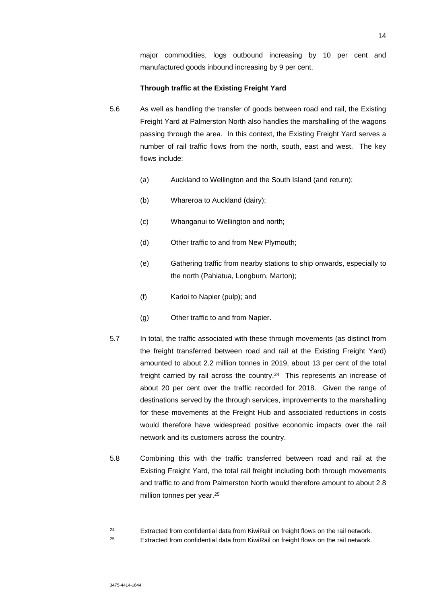major commodities, logs outbound increasing by 10 per cent and manufactured goods inbound increasing by 9 per cent.

#### **Through traffic at the Existing Freight Yard**

- 5.6 As well as handling the transfer of goods between road and rail, the Existing Freight Yard at Palmerston North also handles the marshalling of the wagons passing through the area. In this context, the Existing Freight Yard serves a number of rail traffic flows from the north, south, east and west. The key flows include:
	- (a) Auckland to Wellington and the South Island (and return);
	- (b) Whareroa to Auckland (dairy);
	- (c) Whanganui to Wellington and north;
	- (d) Other traffic to and from New Plymouth;
	- (e) Gathering traffic from nearby stations to ship onwards, especially to the north (Pahiatua, Longburn, Marton);
	- (f) Karioi to Napier (pulp); and
	- (g) Other traffic to and from Napier.
- 5.7 In total, the traffic associated with these through movements (as distinct from the freight transferred between road and rail at the Existing Freight Yard) amounted to about 2.2 million tonnes in 2019, about 13 per cent of the total freight carried by rail across the country.<sup>24</sup> This represents an increase of about 20 per cent over the traffic recorded for 2018. Given the range of destinations served by the through services, improvements to the marshalling for these movements at the Freight Hub and associated reductions in costs would therefore have widespread positive economic impacts over the rail network and its customers across the country.
- 5.8 Combining this with the traffic transferred between road and rail at the Existing Freight Yard, the total rail freight including both through movements and traffic to and from Palmerston North would therefore amount to about 2.8 million tonnes per year.<sup>25</sup>

<sup>&</sup>lt;sup>24</sup> Extracted from confidential data from KiwiRail on freight flows on the rail network.

 $25$  Extracted from confidential data from KiwiRail on freight flows on the rail network.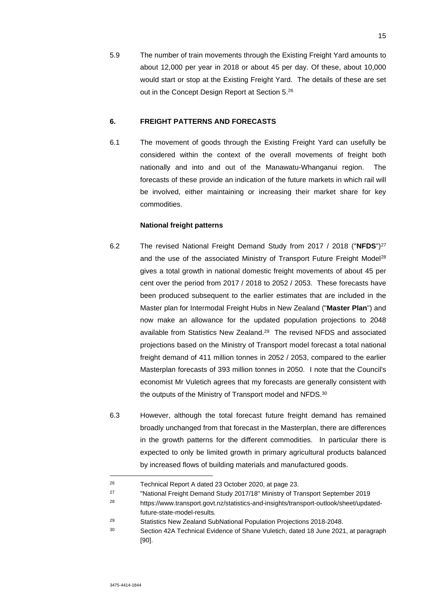5.9 The number of train movements through the Existing Freight Yard amounts to about 12,000 per year in 2018 or about 45 per day. Of these, about 10,000 would start or stop at the Existing Freight Yard. The details of these are set out in the Concept Design Report at Section 5.<sup>26</sup>

# **6. FREIGHT PATTERNS AND FORECASTS**

6.1 The movement of goods through the Existing Freight Yard can usefully be considered within the context of the overall movements of freight both nationally and into and out of the Manawatu-Whanganui region. The forecasts of these provide an indication of the future markets in which rail will be involved, either maintaining or increasing their market share for key commodities.

## **National freight patterns**

- 6.2 The revised National Freight Demand Study from 2017 / 2018 ("**NFDS**")<sup>27</sup> and the use of the associated Ministry of Transport Future Freight Model<sup>28</sup> gives a total growth in national domestic freight movements of about 45 per cent over the period from 2017 / 2018 to 2052 / 2053. These forecasts have been produced subsequent to the earlier estimates that are included in the Master plan for Intermodal Freight Hubs in New Zealand ("**Master Plan**") and now make an allowance for the updated population projections to 2048 available from Statistics New Zealand.<sup>29</sup> The revised NFDS and associated projections based on the Ministry of Transport model forecast a total national freight demand of 411 million tonnes in 2052 / 2053, compared to the earlier Masterplan forecasts of 393 million tonnes in 2050. I note that the Council's economist Mr Vuletich agrees that my forecasts are generally consistent with the outputs of the Ministry of Transport model and NFDS.<sup>30</sup>
- 6.3 However, although the total forecast future freight demand has remained broadly unchanged from that forecast in the Masterplan, there are differences in the growth patterns for the different commodities. In particular there is expected to only be limited growth in primary agricultural products balanced by increased flows of building materials and manufactured goods.

<sup>26</sup> Technical Report A dated 23 October 2020, at page 23.

<sup>&</sup>lt;sup>27</sup> "National Freight Demand Study 2017/18" Ministry of Transport September 2019

<sup>28</sup> https://www.transport.govt.nz/statistics-and-insights/transport-outlook/sheet/updatedfuture-state-model-results.

<sup>29</sup> Statistics New Zealand SubNational Population Projections 2018-2048.

<sup>30</sup> Section 42A Technical Evidence of Shane Vuletich, dated 18 June 2021, at paragraph [90].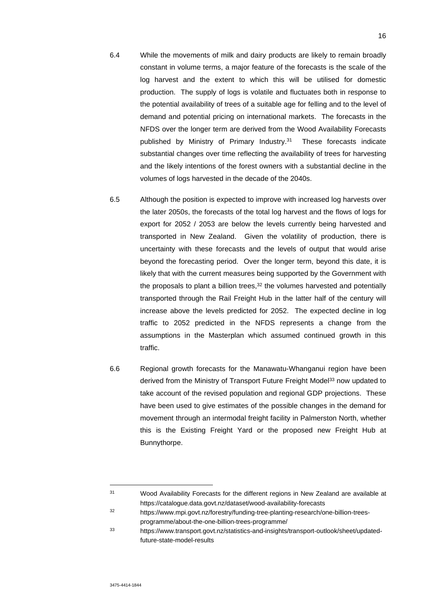- 6.4 While the movements of milk and dairy products are likely to remain broadly constant in volume terms, a major feature of the forecasts is the scale of the log harvest and the extent to which this will be utilised for domestic production. The supply of logs is volatile and fluctuates both in response to the potential availability of trees of a suitable age for felling and to the level of demand and potential pricing on international markets. The forecasts in the NFDS over the longer term are derived from the Wood Availability Forecasts published by Ministry of Primary Industry.<sup>31</sup> These forecasts indicate substantial changes over time reflecting the availability of trees for harvesting and the likely intentions of the forest owners with a substantial decline in the volumes of logs harvested in the decade of the 2040s.
- 6.5 Although the position is expected to improve with increased log harvests over the later 2050s, the forecasts of the total log harvest and the flows of logs for export for 2052 / 2053 are below the levels currently being harvested and transported in New Zealand. Given the volatility of production, there is uncertainty with these forecasts and the levels of output that would arise beyond the forecasting period. Over the longer term, beyond this date, it is likely that with the current measures being supported by the Government with the proposals to plant a billion trees, $32$  the volumes harvested and potentially transported through the Rail Freight Hub in the latter half of the century will increase above the levels predicted for 2052. The expected decline in log traffic to 2052 predicted in the NFDS represents a change from the assumptions in the Masterplan which assumed continued growth in this traffic.
- 6.6 Regional growth forecasts for the Manawatu-Whanganui region have been derived from the Ministry of Transport Future Freight Model<sup>33</sup> now updated to take account of the revised population and regional GDP projections. These have been used to give estimates of the possible changes in the demand for movement through an intermodal freight facility in Palmerston North, whether this is the Existing Freight Yard or the proposed new Freight Hub at Bunnythorpe.

<sup>31</sup> Wood Availability Forecasts for the different regions in New Zealand are available at https://catalogue.data.govt.nz/dataset/wood-availability-forecasts

<sup>32</sup> https://www.mpi.govt.nz/forestry/funding-tree-planting-research/one-billion-treesprogramme/about-the-one-billion-trees-programme/

<sup>33</sup> https://www.transport.govt.nz/statistics-and-insights/transport-outlook/sheet/updatedfuture-state-model-results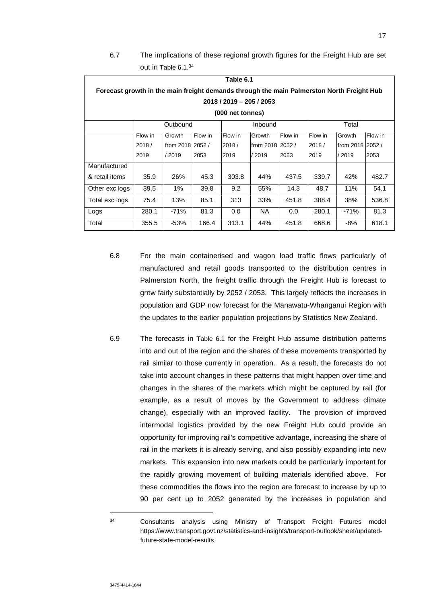# 6.7 The implications of these regional growth figures for the Freight Hub are set out in Table 6.1.<sup>34</sup>

| Table 6.1                                                                                 |          |                  |         |         |                  |         |         |                  |         |
|-------------------------------------------------------------------------------------------|----------|------------------|---------|---------|------------------|---------|---------|------------------|---------|
| Forecast growth in the main freight demands through the main Palmerston North Freight Hub |          |                  |         |         |                  |         |         |                  |         |
| 2018 / 2019 - 205 / 2053                                                                  |          |                  |         |         |                  |         |         |                  |         |
| (000 net tonnes)                                                                          |          |                  |         |         |                  |         |         |                  |         |
|                                                                                           | Outbound |                  |         | Inbound |                  |         | Total   |                  |         |
|                                                                                           | Flow in  | Growth           | Flow in | Flow in | Growth           | Flow in | Flow in | Growth           | Flow in |
|                                                                                           | 2018/    | from 2018 2052 / |         | 2018/   | from 2018 2052 / |         | 2018/   | from 2018 2052 / |         |
|                                                                                           | 2019     | / 2019           | 2053    | 2019    | / 2019           | 2053    | 2019    | / 2019           | 2053    |
| Manufactured                                                                              |          |                  |         |         |                  |         |         |                  |         |
| & retail items                                                                            | 35.9     | 26%              | 45.3    | 303.8   | 44%              | 437.5   | 339.7   | 42%              | 482.7   |
| Other exc logs                                                                            | 39.5     | 1%               | 39.8    | 9.2     | 55%              | 14.3    | 48.7    | 11%              | 54.1    |
| Total exc logs                                                                            | 75.4     | 13%              | 85.1    | 313     | 33%              | 451.8   | 388.4   | 38%              | 536.8   |
| Logs                                                                                      | 280.1    | $-71%$           | 81.3    | 0.0     | NA.              | 0.0     | 280.1   | $-71%$           | 81.3    |
| Total                                                                                     | 355.5    | -53%             | 166.4   | 313.1   | 44%              | 451.8   | 668.6   | -8%              | 618.1   |

- 6.8 For the main containerised and wagon load traffic flows particularly of manufactured and retail goods transported to the distribution centres in Palmerston North, the freight traffic through the Freight Hub is forecast to grow fairly substantially by 2052 / 2053. This largely reflects the increases in population and GDP now forecast for the Manawatu-Whanganui Region with the updates to the earlier population projections by Statistics New Zealand.
- 6.9 The forecasts in Table 6.1 for the Freight Hub assume distribution patterns into and out of the region and the shares of these movements transported by rail similar to those currently in operation. As a result, the forecasts do not take into account changes in these patterns that might happen over time and changes in the shares of the markets which might be captured by rail (for example, as a result of moves by the Government to address climate change), especially with an improved facility. The provision of improved intermodal logistics provided by the new Freight Hub could provide an opportunity for improving rail's competitive advantage, increasing the share of rail in the markets it is already serving, and also possibly expanding into new markets. This expansion into new markets could be particularly important for the rapidly growing movement of building materials identified above. For these commodities the flows into the region are forecast to increase by up to 90 per cent up to 2052 generated by the increases in population and

<sup>34</sup> Consultants analysis using Ministry of Transport Freight Futures model https://www.transport.govt.nz/statistics-and-insights/transport-outlook/sheet/updatedfuture-state-model-results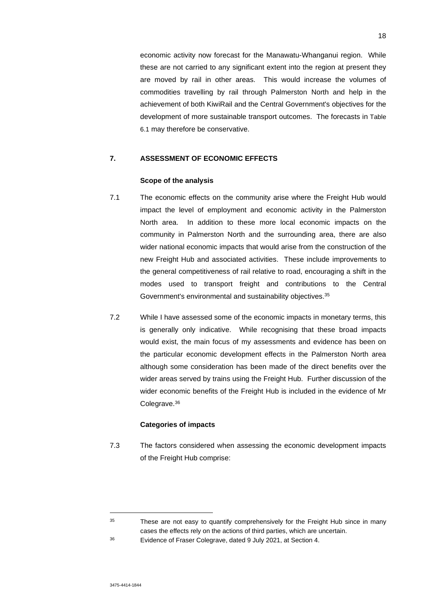economic activity now forecast for the Manawatu-Whanganui region. While these are not carried to any significant extent into the region at present they are moved by rail in other areas. This would increase the volumes of commodities travelling by rail through Palmerston North and help in the achievement of both KiwiRail and the Central Government's objectives for the development of more sustainable transport outcomes. The forecasts in Table 6.1 may therefore be conservative.

## **7. ASSESSMENT OF ECONOMIC EFFECTS**

#### **Scope of the analysis**

- 7.1 The economic effects on the community arise where the Freight Hub would impact the level of employment and economic activity in the Palmerston North area. In addition to these more local economic impacts on the community in Palmerston North and the surrounding area, there are also wider national economic impacts that would arise from the construction of the new Freight Hub and associated activities. These include improvements to the general competitiveness of rail relative to road, encouraging a shift in the modes used to transport freight and contributions to the Central Government's environmental and sustainability objectives.<sup>35</sup>
- 7.2 While I have assessed some of the economic impacts in monetary terms, this is generally only indicative. While recognising that these broad impacts would exist, the main focus of my assessments and evidence has been on the particular economic development effects in the Palmerston North area although some consideration has been made of the direct benefits over the wider areas served by trains using the Freight Hub. Further discussion of the wider economic benefits of the Freight Hub is included in the evidence of Mr Colegrave.<sup>36</sup>

## **Categories of impacts**

7.3 The factors considered when assessing the economic development impacts of the Freight Hub comprise:

 $35$  These are not easy to quantify comprehensively for the Freight Hub since in many cases the effects rely on the actions of third parties, which are uncertain.

<sup>36</sup> Evidence of Fraser Colegrave, dated 9 July 2021, at Section 4.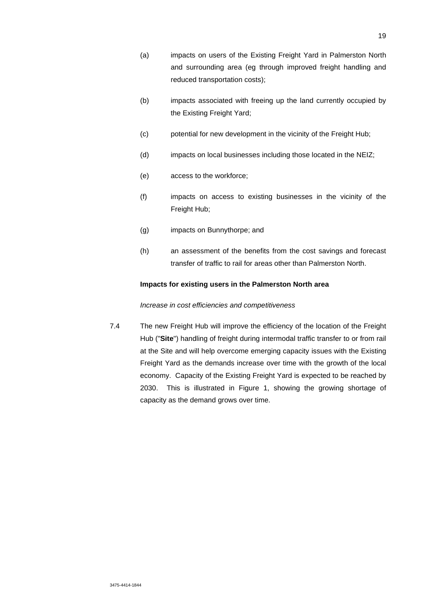- (b) impacts associated with freeing up the land currently occupied by the Existing Freight Yard;
- (c) potential for new development in the vicinity of the Freight Hub;
- (d) impacts on local businesses including those located in the NEIZ;
- (e) access to the workforce;
- (f) impacts on access to existing businesses in the vicinity of the Freight Hub;
- (g) impacts on Bunnythorpe; and
- (h) an assessment of the benefits from the cost savings and forecast transfer of traffic to rail for areas other than Palmerston North.

## **Impacts for existing users in the Palmerston North area**

#### *Increase in cost efficiencies and competitiveness*

7.4 The new Freight Hub will improve the efficiency of the location of the Freight Hub ("**Site**") handling of freight during intermodal traffic transfer to or from rail at the Site and will help overcome emerging capacity issues with the Existing Freight Yard as the demands increase over time with the growth of the local economy. Capacity of the Existing Freight Yard is expected to be reached by 2030. This is illustrated in Figure 1, showing the growing shortage of capacity as the demand grows over time.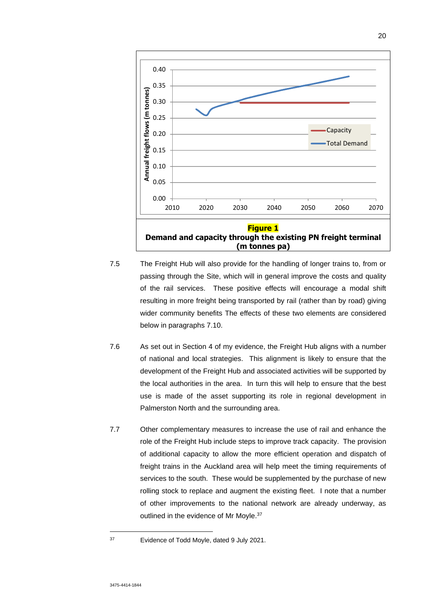

- 7.5 The Freight Hub will also provide for the handling of longer trains to, from or passing through the Site, which will in general improve the costs and quality of the rail services. These positive effects will encourage a modal shift resulting in more freight being transported by rail (rather than by road) giving wider community benefits The effects of these two elements are considered below in paragraphs 7.10.
- 7.6 As set out in Section 4 of my evidence, the Freight Hub aligns with a number of national and local strategies. This alignment is likely to ensure that the development of the Freight Hub and associated activities will be supported by the local authorities in the area. In turn this will help to ensure that the best use is made of the asset supporting its role in regional development in Palmerston North and the surrounding area.
- 7.7 Other complementary measures to increase the use of rail and enhance the role of the Freight Hub include steps to improve track capacity. The provision of additional capacity to allow the more efficient operation and dispatch of freight trains in the Auckland area will help meet the timing requirements of services to the south. These would be supplemented by the purchase of new rolling stock to replace and augment the existing fleet. I note that a number of other improvements to the national network are already underway, as outlined in the evidence of Mr Moyle.<sup>37</sup>

<sup>37</sup> Evidence of Todd Moyle, dated 9 July 2021.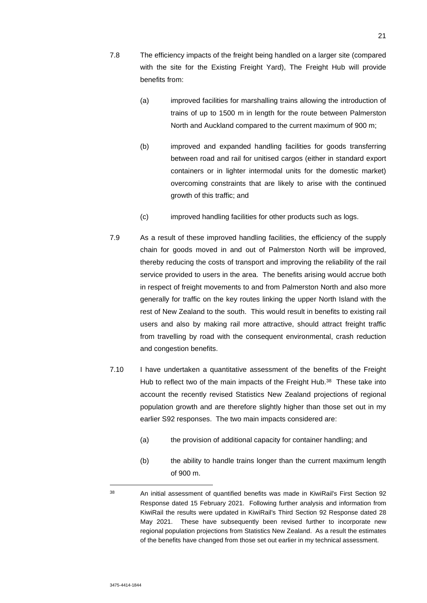- 7.8 The efficiency impacts of the freight being handled on a larger site (compared with the site for the Existing Freight Yard), The Freight Hub will provide benefits from:
	- (a) improved facilities for marshalling trains allowing the introduction of trains of up to 1500 m in length for the route between Palmerston North and Auckland compared to the current maximum of 900 m;
	- (b) improved and expanded handling facilities for goods transferring between road and rail for unitised cargos (either in standard export containers or in lighter intermodal units for the domestic market) overcoming constraints that are likely to arise with the continued growth of this traffic; and
	- (c) improved handling facilities for other products such as logs.
- 7.9 As a result of these improved handling facilities, the efficiency of the supply chain for goods moved in and out of Palmerston North will be improved, thereby reducing the costs of transport and improving the reliability of the rail service provided to users in the area. The benefits arising would accrue both in respect of freight movements to and from Palmerston North and also more generally for traffic on the key routes linking the upper North Island with the rest of New Zealand to the south. This would result in benefits to existing rail users and also by making rail more attractive, should attract freight traffic from travelling by road with the consequent environmental, crash reduction and congestion benefits.
- 7.10 I have undertaken a quantitative assessment of the benefits of the Freight Hub to reflect two of the main impacts of the Freight Hub.<sup>38</sup> These take into account the recently revised Statistics New Zealand projections of regional population growth and are therefore slightly higher than those set out in my earlier S92 responses. The two main impacts considered are:
	- (a) the provision of additional capacity for container handling; and
	- (b) the ability to handle trains longer than the current maximum length of 900 m.

<sup>&</sup>lt;sup>38</sup> An initial assessment of quantified benefits was made in KiwiRail's First Section 92 Response dated 15 February 2021. Following further analysis and information from KiwiRail the results were updated in KiwiRail's Third Section 92 Response dated 28 May 2021. These have subsequently been revised further to incorporate new regional population projections from Statistics New Zealand. As a result the estimates of the benefits have changed from those set out earlier in my technical assessment.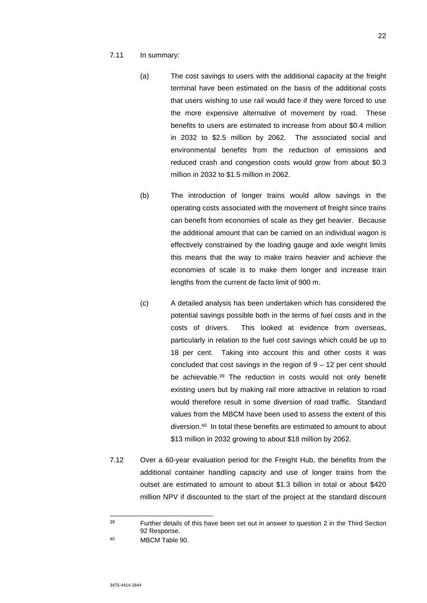- 7.11 In summary:
	- (a) The cost savings to users with the additional capacity at the freight terminal have been estimated on the basis of the additional costs that users wishing to use rail would face if they were forced to use the more expensive alternative of movement by road. These benefits to users are estimated to increase from about \$0.4 million in 2032 to \$2.5 million by 2062. The associated social and environmental benefits from the reduction of emissions and reduced crash and congestion costs would grow from about \$0.3 million in 2032 to \$1.5 million in 2062.
	- (b) The introduction of longer trains would allow savings in the operating costs associated with the movement of freight since trains can benefit from economies of scale as they get heavier. Because the additional amount that can be carried on an individual wagon is effectively constrained by the loading gauge and axle weight limits this means that the way to make trains heavier and achieve the economies of scale is to make them longer and increase train lengths from the current de facto limit of 900 m.
	- (c) A detailed analysis has been undertaken which has considered the potential savings possible both in the terms of fuel costs and in the costs of drivers. This looked at evidence from overseas, particularly in relation to the fuel cost savings which could be up to 18 per cent. Taking into account this and other costs it was concluded that cost savings in the region of 9 – 12 per cent should be achievable.<sup>39</sup> The reduction in costs would not only benefit existing users but by making rail more attractive in relation to road would therefore result in some diversion of road traffic. Standard values from the MBCM have been used to assess the extent of this diversion.<sup>40</sup> In total these benefits are estimated to amount to about \$13 million in 2032 growing to about \$18 million by 2062.
- 7.12 Over a 60-year evaluation period for the Freight Hub, the benefits from the additional container handling capacity and use of longer trains from the outset are estimated to amount to about \$1.3 billion in total or about \$420 million NPV if discounted to the start of the project at the standard discount

<sup>39</sup> Further details of this have been set out in answer to question 2 in the Third Section 92 Response.

<sup>40</sup> MBCM Table 90.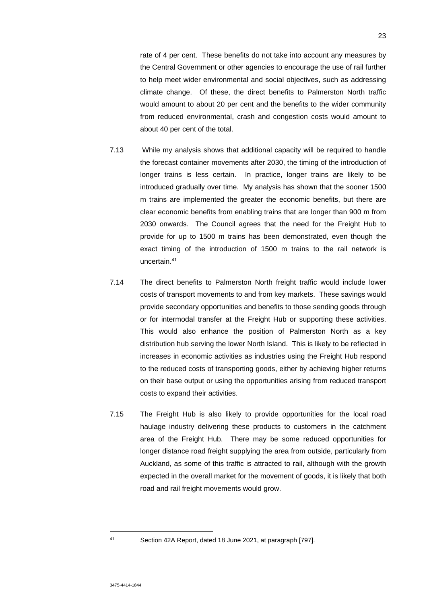rate of 4 per cent. These benefits do not take into account any measures by the Central Government or other agencies to encourage the use of rail further to help meet wider environmental and social objectives, such as addressing climate change. Of these, the direct benefits to Palmerston North traffic would amount to about 20 per cent and the benefits to the wider community from reduced environmental, crash and congestion costs would amount to about 40 per cent of the total.

- 7.13 While my analysis shows that additional capacity will be required to handle the forecast container movements after 2030, the timing of the introduction of longer trains is less certain. In practice, longer trains are likely to be introduced gradually over time. My analysis has shown that the sooner 1500 m trains are implemented the greater the economic benefits, but there are clear economic benefits from enabling trains that are longer than 900 m from 2030 onwards. The Council agrees that the need for the Freight Hub to provide for up to 1500 m trains has been demonstrated, even though the exact timing of the introduction of 1500 m trains to the rail network is uncertain.<sup>41</sup>
- 7.14 The direct benefits to Palmerston North freight traffic would include lower costs of transport movements to and from key markets. These savings would provide secondary opportunities and benefits to those sending goods through or for intermodal transfer at the Freight Hub or supporting these activities. This would also enhance the position of Palmerston North as a key distribution hub serving the lower North Island. This is likely to be reflected in increases in economic activities as industries using the Freight Hub respond to the reduced costs of transporting goods, either by achieving higher returns on their base output or using the opportunities arising from reduced transport costs to expand their activities.
- 7.15 The Freight Hub is also likely to provide opportunities for the local road haulage industry delivering these products to customers in the catchment area of the Freight Hub. There may be some reduced opportunities for longer distance road freight supplying the area from outside, particularly from Auckland, as some of this traffic is attracted to rail, although with the growth expected in the overall market for the movement of goods, it is likely that both road and rail freight movements would grow.

<sup>41</sup> Section 42A Report, dated 18 June 2021, at paragraph [797].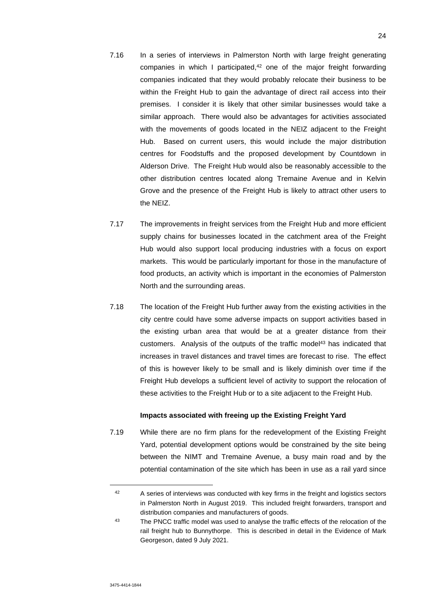- 7.16 In a series of interviews in Palmerston North with large freight generating companies in which I participated, $42$  one of the major freight forwarding companies indicated that they would probably relocate their business to be within the Freight Hub to gain the advantage of direct rail access into their premises. I consider it is likely that other similar businesses would take a similar approach. There would also be advantages for activities associated with the movements of goods located in the NEIZ adjacent to the Freight Hub. Based on current users, this would include the major distribution centres for Foodstuffs and the proposed development by Countdown in Alderson Drive. The Freight Hub would also be reasonably accessible to the other distribution centres located along Tremaine Avenue and in Kelvin Grove and the presence of the Freight Hub is likely to attract other users to the NEIZ.
- 7.17 The improvements in freight services from the Freight Hub and more efficient supply chains for businesses located in the catchment area of the Freight Hub would also support local producing industries with a focus on export markets. This would be particularly important for those in the manufacture of food products, an activity which is important in the economies of Palmerston North and the surrounding areas.
- 7.18 The location of the Freight Hub further away from the existing activities in the city centre could have some adverse impacts on support activities based in the existing urban area that would be at a greater distance from their customers. Analysis of the outputs of the traffic model<sup>43</sup> has indicated that increases in travel distances and travel times are forecast to rise. The effect of this is however likely to be small and is likely diminish over time if the Freight Hub develops a sufficient level of activity to support the relocation of these activities to the Freight Hub or to a site adjacent to the Freight Hub.

## **Impacts associated with freeing up the Existing Freight Yard**

7.19 While there are no firm plans for the redevelopment of the Existing Freight Yard, potential development options would be constrained by the site being between the NIMT and Tremaine Avenue, a busy main road and by the potential contamination of the site which has been in use as a rail yard since

<sup>42</sup> A series of interviews was conducted with key firms in the freight and logistics sectors in Palmerston North in August 2019. This included freight forwarders, transport and distribution companies and manufacturers of goods.

<sup>&</sup>lt;sup>43</sup> The PNCC traffic model was used to analyse the traffic effects of the relocation of the rail freight hub to Bunnythorpe. This is described in detail in the Evidence of Mark Georgeson, dated 9 July 2021.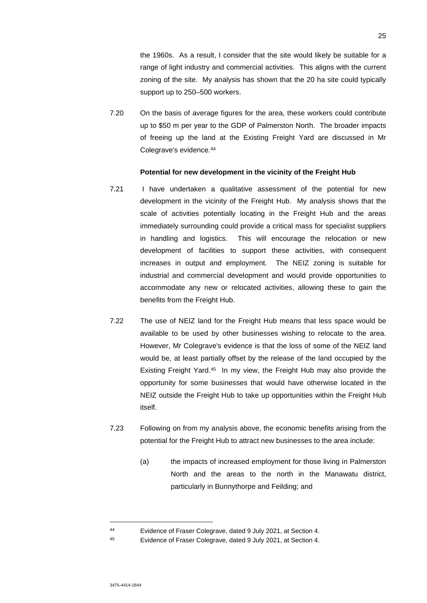the 1960s. As a result, I consider that the site would likely be suitable for a range of light industry and commercial activities. This aligns with the current zoning of the site. My analysis has shown that the 20 ha site could typically support up to 250–500 workers.

7.20 On the basis of average figures for the area, these workers could contribute up to \$50 m per year to the GDP of Palmerston North. The broader impacts of freeing up the land at the Existing Freight Yard are discussed in Mr Colegrave's evidence.<sup>44</sup>

## **Potential for new development in the vicinity of the Freight Hub**

- 7.21 I have undertaken a qualitative assessment of the potential for new development in the vicinity of the Freight Hub. My analysis shows that the scale of activities potentially locating in the Freight Hub and the areas immediately surrounding could provide a critical mass for specialist suppliers in handling and logistics. This will encourage the relocation or new development of facilities to support these activities, with consequent increases in output and employment. The NEIZ zoning is suitable for industrial and commercial development and would provide opportunities to accommodate any new or relocated activities, allowing these to gain the benefits from the Freight Hub.
- 7.22 The use of NEIZ land for the Freight Hub means that less space would be available to be used by other businesses wishing to relocate to the area. However, Mr Colegrave's evidence is that the loss of some of the NEIZ land would be, at least partially offset by the release of the land occupied by the Existing Freight Yard.<sup>45</sup> In my view, the Freight Hub may also provide the opportunity for some businesses that would have otherwise located in the NEIZ outside the Freight Hub to take up opportunities within the Freight Hub itself.
- 7.23 Following on from my analysis above, the economic benefits arising from the potential for the Freight Hub to attract new businesses to the area include:
	- (a) the impacts of increased employment for those living in Palmerston North and the areas to the north in the Manawatu district, particularly in Bunnythorpe and Feilding; and

<sup>44</sup> Evidence of Fraser Colegrave, dated 9 July 2021, at Section 4.

<sup>45</sup> Evidence of Fraser Colegrave, dated 9 July 2021, at Section 4.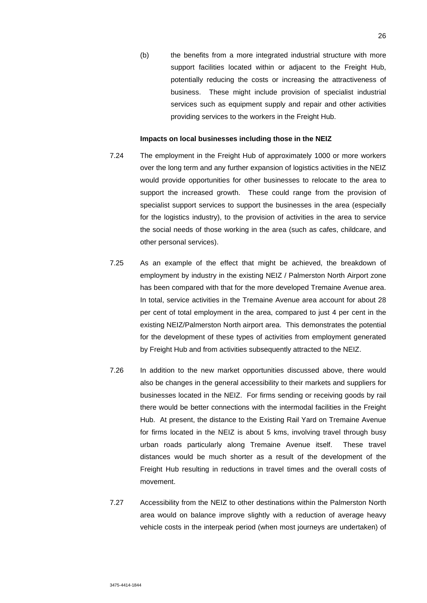(b) the benefits from a more integrated industrial structure with more support facilities located within or adjacent to the Freight Hub, potentially reducing the costs or increasing the attractiveness of business. These might include provision of specialist industrial services such as equipment supply and repair and other activities providing services to the workers in the Freight Hub.

#### **Impacts on local businesses including those in the NEIZ**

- 7.24 The employment in the Freight Hub of approximately 1000 or more workers over the long term and any further expansion of logistics activities in the NEIZ would provide opportunities for other businesses to relocate to the area to support the increased growth. These could range from the provision of specialist support services to support the businesses in the area (especially for the logistics industry), to the provision of activities in the area to service the social needs of those working in the area (such as cafes, childcare, and other personal services).
- 7.25 As an example of the effect that might be achieved, the breakdown of employment by industry in the existing NEIZ / Palmerston North Airport zone has been compared with that for the more developed Tremaine Avenue area. In total, service activities in the Tremaine Avenue area account for about 28 per cent of total employment in the area, compared to just 4 per cent in the existing NEIZ/Palmerston North airport area. This demonstrates the potential for the development of these types of activities from employment generated by Freight Hub and from activities subsequently attracted to the NEIZ.
- 7.26 In addition to the new market opportunities discussed above, there would also be changes in the general accessibility to their markets and suppliers for businesses located in the NEIZ. For firms sending or receiving goods by rail there would be better connections with the intermodal facilities in the Freight Hub. At present, the distance to the Existing Rail Yard on Tremaine Avenue for firms located in the NEIZ is about 5 kms, involving travel through busy urban roads particularly along Tremaine Avenue itself. These travel distances would be much shorter as a result of the development of the Freight Hub resulting in reductions in travel times and the overall costs of movement.
- 7.27 Accessibility from the NEIZ to other destinations within the Palmerston North area would on balance improve slightly with a reduction of average heavy vehicle costs in the interpeak period (when most journeys are undertaken) of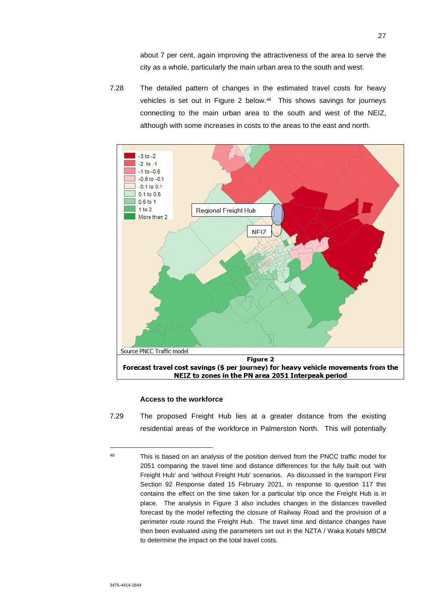about 7 per cent, again improving the attractiveness of the area to serve the city as a whole, particularly the main urban area to the south and west.

7.28 The detailed pattern of changes in the estimated travel costs for heavy vehicles is set out in Figure 2 below.46 This shows savings for journeys connecting to the main urban area to the south and west of the NEIZ, although with some increases in costs to the areas to the east and north.



## **Access to the workforce**

7.29 The proposed Freight Hub lies at a greater distance from the existing residential areas of the workforce in Palmerston North. This will potentially

<sup>46</sup> This is based on an analysis of the position derived from the PNCC traffic model for 2051 comparing the travel time and distance differences for the fully built out 'with Freight Hub' and 'without Freight Hub' scenarios. As discussed in the transport First Section 92 Response dated 15 February 2021, in response to question 117 this contains the effect on the time taken for a particular trip once the Freight Hub is in place. The analysis in Figure 3 also includes changes in the distances travelled forecast by the model reflecting the closure of Railway Road and the provision of a perimeter route round the Freight Hub. The travel time and distance changes have then been evaluated using the parameters set out in the NZTA / Waka Kotahi MBCM to determine the impact on the total travel costs.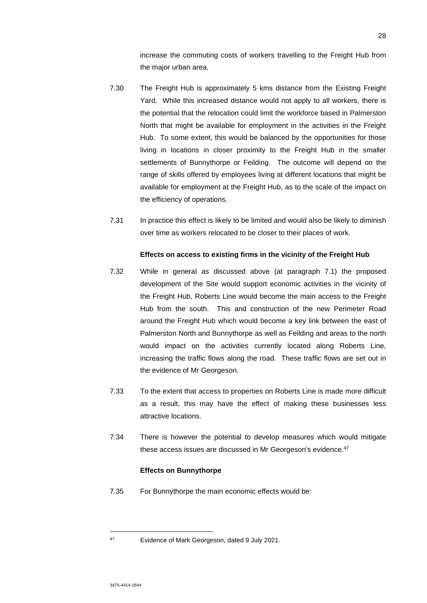increase the commuting costs of workers travelling to the Freight Hub from the major urban area.

- 7.30 The Freight Hub is approximately 5 kms distance from the Existing Freight Yard. While this increased distance would not apply to all workers, there is the potential that the relocation could limit the workforce based in Palmerston North that might be available for employment in the activities in the Freight Hub. To some extent, this would be balanced by the opportunities for those living in locations in closer proximity to the Freight Hub in the smaller settlements of Bunnythorpe or Feilding. The outcome will depend on the range of skills offered by employees living at different locations that might be available for employment at the Freight Hub, as to the scale of the impact on the efficiency of operations.
- 7.31 In practice this effect is likely to be limited and would also be likely to diminish over time as workers relocated to be closer to their places of work.

## **Effects on access to existing firms in the vicinity of the Freight Hub**

- 7.32 While in general as discussed above (at paragraph 7.1) the proposed development of the Site would support economic activities in the vicinity of the Freight Hub, Roberts Line would become the main access to the Freight Hub from the south. This and construction of the new Perimeter Road around the Freight Hub which would become a key link between the east of Palmerston North and Bunnythorpe as well as Feilding and areas to the north would impact on the activities currently located along Roberts Line, increasing the traffic flows along the road. These traffic flows are set out in the evidence of Mr Georgeson.
- 7.33 To the extent that access to properties on Roberts Line is made more difficult as a result, this may have the effect of making these businesses less attractive locations.
- 7.34 There is however the potential to develop measures which would mitigate these access issues are discussed in Mr Georgeson's evidence.<sup>47</sup>

#### **Effects on Bunnythorpe**

7.35 For Bunnythorpe the main economic effects would be:

<sup>47</sup> Evidence of Mark Georgeson, dated 9 July 2021.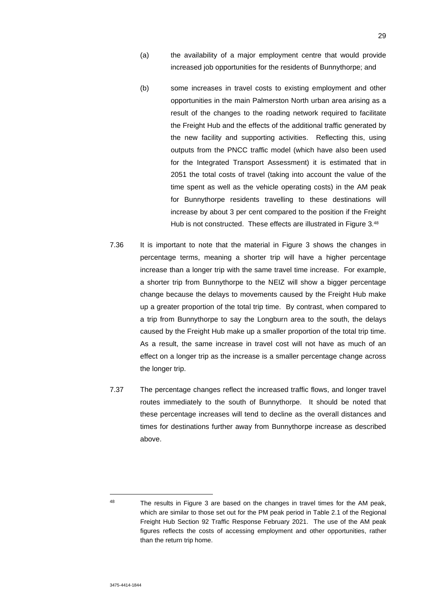- (a) the availability of a major employment centre that would provide increased job opportunities for the residents of Bunnythorpe; and
- (b) some increases in travel costs to existing employment and other opportunities in the main Palmerston North urban area arising as a result of the changes to the roading network required to facilitate the Freight Hub and the effects of the additional traffic generated by the new facility and supporting activities. Reflecting this, using outputs from the PNCC traffic model (which have also been used for the Integrated Transport Assessment) it is estimated that in 2051 the total costs of travel (taking into account the value of the time spent as well as the vehicle operating costs) in the AM peak for Bunnythorpe residents travelling to these destinations will increase by about 3 per cent compared to the position if the Freight Hub is not constructed. These effects are illustrated in Figure 3.48
- 7.36 It is important to note that the material in Figure 3 shows the changes in percentage terms, meaning a shorter trip will have a higher percentage increase than a longer trip with the same travel time increase. For example, a shorter trip from Bunnythorpe to the NEIZ will show a bigger percentage change because the delays to movements caused by the Freight Hub make up a greater proportion of the total trip time. By contrast, when compared to a trip from Bunnythorpe to say the Longburn area to the south, the delays caused by the Freight Hub make up a smaller proportion of the total trip time. As a result, the same increase in travel cost will not have as much of an effect on a longer trip as the increase is a smaller percentage change across the longer trip.
- 7.37 The percentage changes reflect the increased traffic flows, and longer travel routes immediately to the south of Bunnythorpe. It should be noted that these percentage increases will tend to decline as the overall distances and times for destinations further away from Bunnythorpe increase as described above.

<sup>&</sup>lt;sup>48</sup> The results in Figure 3 are based on the changes in travel times for the AM peak, which are similar to those set out for the PM peak period in Table 2.1 of the Regional Freight Hub Section 92 Traffic Response February 2021. The use of the AM peak figures reflects the costs of accessing employment and other opportunities, rather than the return trip home.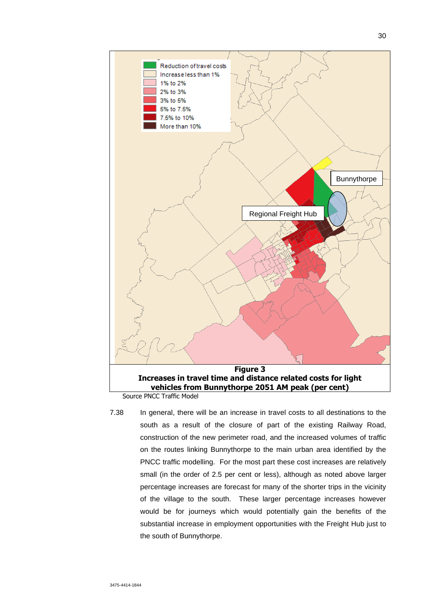

7.38 In general, there will be an increase in travel costs to all destinations to the south as a result of the closure of part of the existing Railway Road, construction of the new perimeter road, and the increased volumes of traffic on the routes linking Bunnythorpe to the main urban area identified by the PNCC traffic modelling. For the most part these cost increases are relatively small (in the order of 2.5 per cent or less), although as noted above larger percentage increases are forecast for many of the shorter trips in the vicinity of the village to the south. These larger percentage increases however would be for journeys which would potentially gain the benefits of the substantial increase in employment opportunities with the Freight Hub just to the south of Bunnythorpe.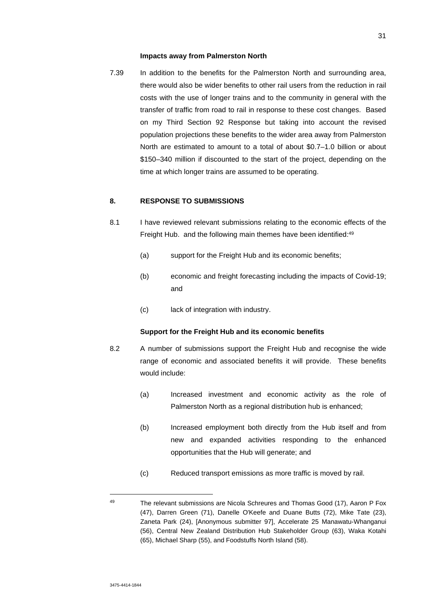#### **Impacts away from Palmerston North**

7.39 In addition to the benefits for the Palmerston North and surrounding area, there would also be wider benefits to other rail users from the reduction in rail costs with the use of longer trains and to the community in general with the transfer of traffic from road to rail in response to these cost changes. Based on my Third Section 92 Response but taking into account the revised population projections these benefits to the wider area away from Palmerston North are estimated to amount to a total of about \$0.7–1.0 billion or about \$150–340 million if discounted to the start of the project, depending on the time at which longer trains are assumed to be operating.

# **8. RESPONSE TO SUBMISSIONS**

- 8.1 I have reviewed relevant submissions relating to the economic effects of the Freight Hub. and the following main themes have been identified:<sup>49</sup>
	- (a) support for the Freight Hub and its economic benefits;
	- (b) economic and freight forecasting including the impacts of Covid-19; and
	- (c) lack of integration with industry.

#### **Support for the Freight Hub and its economic benefits**

- 8.2 A number of submissions support the Freight Hub and recognise the wide range of economic and associated benefits it will provide. These benefits would include:
	- (a) Increased investment and economic activity as the role of Palmerston North as a regional distribution hub is enhanced;
	- (b) Increased employment both directly from the Hub itself and from new and expanded activities responding to the enhanced opportunities that the Hub will generate; and
	- (c) Reduced transport emissions as more traffic is moved by rail.

<sup>49</sup> The relevant submissions are Nicola Schreures and Thomas Good (17), Aaron P Fox (47), Darren Green (71), Danelle O'Keefe and Duane Butts (72), Mike Tate (23), Zaneta Park (24), [Anonymous submitter 97], Accelerate 25 Manawatu-Whanganui (56), Central New Zealand Distribution Hub Stakeholder Group (63), Waka Kotahi (65), Michael Sharp (55), and Foodstuffs North Island (58).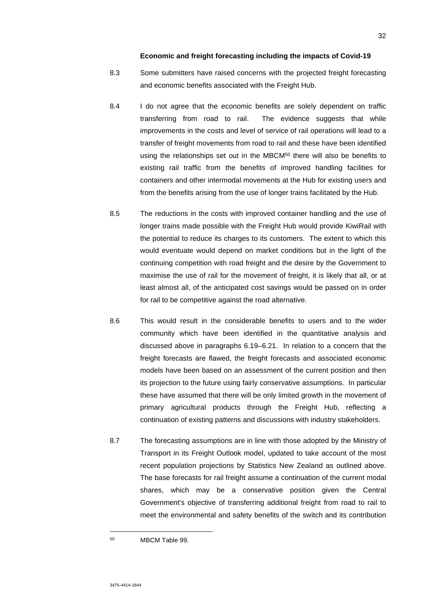# **Economic and freight forecasting including the impacts of Covid-19**

- 8.3 Some submitters have raised concerns with the projected freight forecasting and economic benefits associated with the Freight Hub.
- 8.4 I do not agree that the economic benefits are solely dependent on traffic transferring from road to rail. The evidence suggests that while improvements in the costs and level of service of rail operations will lead to a transfer of freight movements from road to rail and these have been identified using the relationships set out in the MBCM<sup>50</sup> there will also be benefits to existing rail traffic from the benefits of improved handling facilities for containers and other intermodal movements at the Hub for existing users and from the benefits arising from the use of longer trains facilitated by the Hub.
- 8.5 The reductions in the costs with improved container handling and the use of longer trains made possible with the Freight Hub would provide KiwiRail with the potential to reduce its charges to its customers. The extent to which this would eventuate would depend on market conditions but in the light of the continuing competition with road freight and the desire by the Government to maximise the use of rail for the movement of freight, it is likely that all, or at least almost all, of the anticipated cost savings would be passed on in order for rail to be competitive against the road alternative.
- 8.6 This would result in the considerable benefits to users and to the wider community which have been identified in the quantitative analysis and discussed above in paragraphs 6.19–6.21. In relation to a concern that the freight forecasts are flawed, the freight forecasts and associated economic models have been based on an assessment of the current position and then its projection to the future using fairly conservative assumptions. In particular these have assumed that there will be only limited growth in the movement of primary agricultural products through the Freight Hub, reflecting a continuation of existing patterns and discussions with industry stakeholders.
- 8.7 The forecasting assumptions are in line with those adopted by the Ministry of Transport in its Freight Outlook model, updated to take account of the most recent population projections by Statistics New Zealand as outlined above. The base forecasts for rail freight assume a continuation of the current modal shares, which may be a conservative position given the Central Government's objective of transferring additional freight from road to rail to meet the environmental and safety benefits of the switch and its contribution

<sup>50</sup> MBCM Table 99.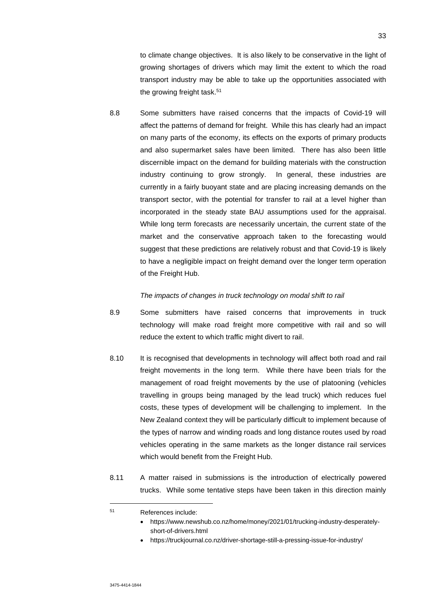to climate change objectives. It is also likely to be conservative in the light of growing shortages of drivers which may limit the extent to which the road transport industry may be able to take up the opportunities associated with the growing freight task.<sup>51</sup>

8.8 Some submitters have raised concerns that the impacts of Covid-19 will affect the patterns of demand for freight. While this has clearly had an impact on many parts of the economy, its effects on the exports of primary products and also supermarket sales have been limited. There has also been little discernible impact on the demand for building materials with the construction industry continuing to grow strongly. In general, these industries are currently in a fairly buoyant state and are placing increasing demands on the transport sector, with the potential for transfer to rail at a level higher than incorporated in the steady state BAU assumptions used for the appraisal. While long term forecasts are necessarily uncertain, the current state of the market and the conservative approach taken to the forecasting would suggest that these predictions are relatively robust and that Covid-19 is likely to have a negligible impact on freight demand over the longer term operation of the Freight Hub.

#### *The impacts of changes in truck technology on modal shift to rail*

- 8.9 Some submitters have raised concerns that improvements in truck technology will make road freight more competitive with rail and so will reduce the extent to which traffic might divert to rail.
- 8.10 It is recognised that developments in technology will affect both road and rail freight movements in the long term. While there have been trials for the management of road freight movements by the use of platooning (vehicles travelling in groups being managed by the lead truck) which reduces fuel costs, these types of development will be challenging to implement. In the New Zealand context they will be particularly difficult to implement because of the types of narrow and winding roads and long distance routes used by road vehicles operating in the same markets as the longer distance rail services which would benefit from the Freight Hub.
- 8.11 A matter raised in submissions is the introduction of electrically powered trucks. While some tentative steps have been taken in this direction mainly

<sup>51</sup> References include:

https://www.newshub.co.nz/home/money/2021/01/trucking-industry-desperatelyshort-of-drivers.html

https://truckjournal.co.nz/driver-shortage-still-a-pressing-issue-for-industry/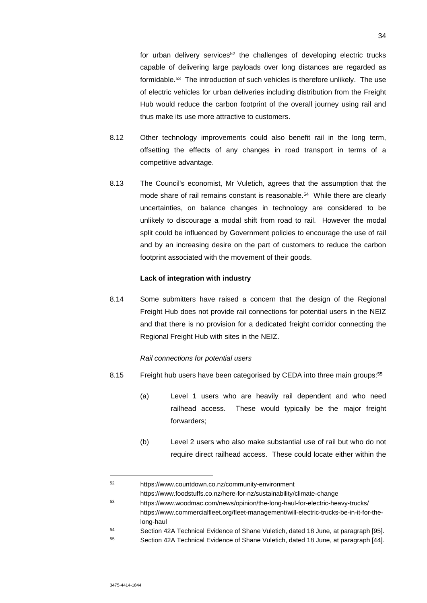for urban delivery services<sup>52</sup> the challenges of developing electric trucks capable of delivering large payloads over long distances are regarded as formidable.<sup>53</sup> The introduction of such vehicles is therefore unlikely. The use of electric vehicles for urban deliveries including distribution from the Freight Hub would reduce the carbon footprint of the overall journey using rail and thus make its use more attractive to customers.

- 8.12 Other technology improvements could also benefit rail in the long term, offsetting the effects of any changes in road transport in terms of a competitive advantage.
- 8.13 The Council's economist, Mr Vuletich, agrees that the assumption that the mode share of rail remains constant is reasonable.<sup>54</sup> While there are clearly uncertainties, on balance changes in technology are considered to be unlikely to discourage a modal shift from road to rail. However the modal split could be influenced by Government policies to encourage the use of rail and by an increasing desire on the part of customers to reduce the carbon footprint associated with the movement of their goods.

## **Lack of integration with industry**

8.14 Some submitters have raised a concern that the design of the Regional Freight Hub does not provide rail connections for potential users in the NEIZ and that there is no provision for a dedicated freight corridor connecting the Regional Freight Hub with sites in the NEIZ.

#### *Rail connections for potential users*

- 8.15 Freight hub users have been categorised by CEDA into three main groups:<sup>55</sup>
	- (a) Level 1 users who are heavily rail dependent and who need railhead access. These would typically be the major freight forwarders;
	- (b) Level 2 users who also make substantial use of rail but who do not require direct railhead access. These could locate either within the

<sup>52</sup> https://www.countdown.co.nz/community-environment https://www.foodstuffs.co.nz/here-for-nz/sustainability/climate-change

<sup>53</sup> https://www.woodmac.com/news/opinion/the-long-haul-for-electric-heavy-trucks/ https://www.commercialfleet.org/fleet-management/will-electric-trucks-be-in-it-for-thelong-haul

<sup>54</sup> Section 42A Technical Evidence of Shane Vuletich, dated 18 June, at paragraph [95].

<sup>55</sup> Section 42A Technical Evidence of Shane Vuletich, dated 18 June, at paragraph [44].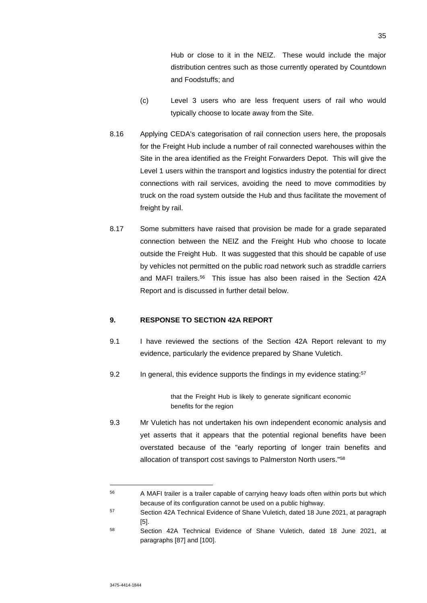Hub or close to it in the NEIZ. These would include the major distribution centres such as those currently operated by Countdown and Foodstuffs; and

- (c) Level 3 users who are less frequent users of rail who would typically choose to locate away from the Site.
- 8.16 Applying CEDA's categorisation of rail connection users here, the proposals for the Freight Hub include a number of rail connected warehouses within the Site in the area identified as the Freight Forwarders Depot. This will give the Level 1 users within the transport and logistics industry the potential for direct connections with rail services, avoiding the need to move commodities by truck on the road system outside the Hub and thus facilitate the movement of freight by rail.
- 8.17 Some submitters have raised that provision be made for a grade separated connection between the NEIZ and the Freight Hub who choose to locate outside the Freight Hub. It was suggested that this should be capable of use by vehicles not permitted on the public road network such as straddle carriers and MAFI trailers.<sup>56</sup> This issue has also been raised in the Section 42A Report and is discussed in further detail below.

# **9. RESPONSE TO SECTION 42A REPORT**

- 9.1 I have reviewed the sections of the Section 42A Report relevant to my evidence, particularly the evidence prepared by Shane Vuletich.
- 9.2 In general, this evidence supports the findings in my evidence stating:<sup>57</sup>

that the Freight Hub is likely to generate significant economic benefits for the region

9.3 Mr Vuletich has not undertaken his own independent economic analysis and yet asserts that it appears that the potential regional benefits have been overstated because of the "early reporting of longer train benefits and allocation of transport cost savings to Palmerston North users."<sup>58</sup>

<sup>&</sup>lt;sup>56</sup> A MAFI trailer is a trailer capable of carrying heavy loads often within ports but which because of its configuration cannot be used on a public highway.

<sup>57</sup> Section 42A Technical Evidence of Shane Vuletich, dated 18 June 2021, at paragraph [5].

<sup>58</sup> Section 42A Technical Evidence of Shane Vuletich, dated 18 June 2021, at paragraphs [87] and [100].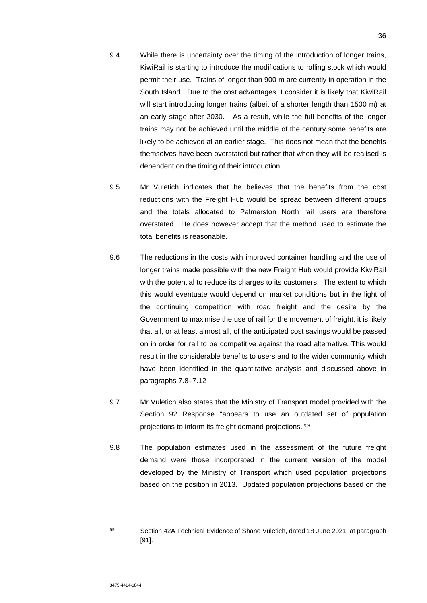- 9.4 While there is uncertainty over the timing of the introduction of longer trains, KiwiRail is starting to introduce the modifications to rolling stock which would permit their use. Trains of longer than 900 m are currently in operation in the South Island. Due to the cost advantages, I consider it is likely that KiwiRail will start introducing longer trains (albeit of a shorter length than 1500 m) at an early stage after 2030. As a result, while the full benefits of the longer trains may not be achieved until the middle of the century some benefits are likely to be achieved at an earlier stage. This does not mean that the benefits themselves have been overstated but rather that when they will be realised is dependent on the timing of their introduction.
- 9.5 Mr Vuletich indicates that he believes that the benefits from the cost reductions with the Freight Hub would be spread between different groups and the totals allocated to Palmerston North rail users are therefore overstated. He does however accept that the method used to estimate the total benefits is reasonable.
- 9.6 The reductions in the costs with improved container handling and the use of longer trains made possible with the new Freight Hub would provide KiwiRail with the potential to reduce its charges to its customers. The extent to which this would eventuate would depend on market conditions but in the light of the continuing competition with road freight and the desire by the Government to maximise the use of rail for the movement of freight, it is likely that all, or at least almost all, of the anticipated cost savings would be passed on in order for rail to be competitive against the road alternative, This would result in the considerable benefits to users and to the wider community which have been identified in the quantitative analysis and discussed above in paragraphs 7.8–7.12
- 9.7 Mr Vuletich also states that the Ministry of Transport model provided with the Section 92 Response "appears to use an outdated set of population projections to inform its freight demand projections."<sup>59</sup>
- 9.8 The population estimates used in the assessment of the future freight demand were those incorporated in the current version of the model developed by the Ministry of Transport which used population projections based on the position in 2013. Updated population projections based on the

<sup>59</sup> Section 42A Technical Evidence of Shane Vuletich, dated 18 June 2021, at paragraph [91].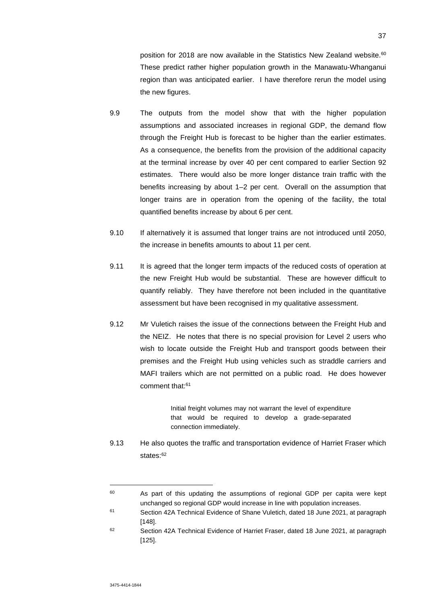position for 2018 are now available in the Statistics New Zealand website.<sup>60</sup> These predict rather higher population growth in the Manawatu-Whanganui region than was anticipated earlier. I have therefore rerun the model using the new figures.

- 9.9 The outputs from the model show that with the higher population assumptions and associated increases in regional GDP, the demand flow through the Freight Hub is forecast to be higher than the earlier estimates. As a consequence, the benefits from the provision of the additional capacity at the terminal increase by over 40 per cent compared to earlier Section 92 estimates. There would also be more longer distance train traffic with the benefits increasing by about 1–2 per cent. Overall on the assumption that longer trains are in operation from the opening of the facility, the total quantified benefits increase by about 6 per cent.
- 9.10 If alternatively it is assumed that longer trains are not introduced until 2050, the increase in benefits amounts to about 11 per cent.
- 9.11 It is agreed that the longer term impacts of the reduced costs of operation at the new Freight Hub would be substantial. These are however difficult to quantify reliably. They have therefore not been included in the quantitative assessment but have been recognised in my qualitative assessment.
- 9.12 Mr Vuletich raises the issue of the connections between the Freight Hub and the NEIZ. He notes that there is no special provision for Level 2 users who wish to locate outside the Freight Hub and transport goods between their premises and the Freight Hub using vehicles such as straddle carriers and MAFI trailers which are not permitted on a public road. He does however comment that:<sup>61</sup>

Initial freight volumes may not warrant the level of expenditure that would be required to develop a grade-separated connection immediately.

9.13 He also quotes the traffic and transportation evidence of Harriet Fraser which states:<sup>62</sup>

<sup>&</sup>lt;sup>60</sup> As part of this updating the assumptions of regional GDP per capita were kept unchanged so regional GDP would increase in line with population increases.

<sup>61</sup> Section 42A Technical Evidence of Shane Vuletich, dated 18 June 2021, at paragraph [148].

<sup>62</sup> Section 42A Technical Evidence of Harriet Fraser, dated 18 June 2021, at paragraph [125].